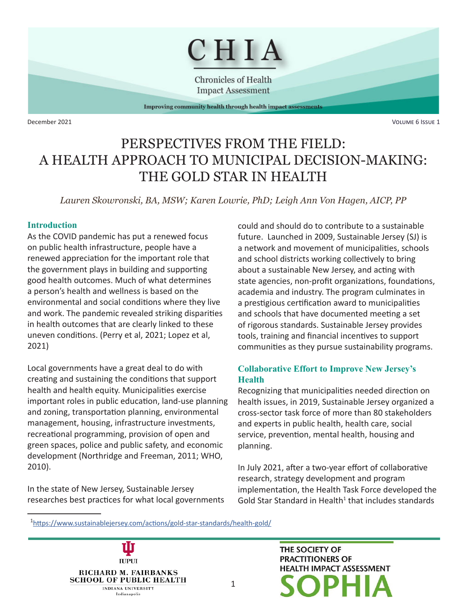

**Chronicles of Health Impact Assessment** 

Improving community health through health impact assessments

December 2021 Volume 6 Issue 1

# PERSPECTIVES FROM THE FIELD: A HEALTH APPROACH TO MUNICIPAL DECISION-MAKING: THE GOLD STAR IN HEALTH

*Lauren Skowronski, BA, MSW; Karen Lowrie, PhD; Leigh Ann Von Hagen, AICP, PP*

1

#### **Introduction**

As the COVID pandemic has put a renewed focus on public health infrastructure, people have a renewed appreciation for the important role that the government plays in building and supporting good health outcomes. Much of what determines a person's health and wellness is based on the environmental and social conditions where they live and work. The pandemic revealed striking disparities in health outcomes that are clearly linked to these uneven conditions. (Perry et al, 2021; Lopez et al, 2021)

Local governments have a great deal to do with creating and sustaining the conditions that support health and health equity. Municipalities exercise important roles in public education, land-use planning and zoning, transportation planning, environmental management, housing, infrastructure investments, recreational programming, provision of open and green spaces, police and public safety, and economic development (Northridge and Freeman, 2011; WHO, 2010).

In the state of New Jersey, Sustainable Jersey researches best practices for what local governments could and should do to contribute to a sustainable future. Launched in 2009, Sustainable Jersey (SJ) is a network and movement of municipalities, schools and school districts working collectively to bring about a sustainable New Jersey, and acting with state agencies, non-profit organizations, foundations, academia and industry. The program culminates in a prestigious certification award to municipalities and schools that have documented meeting a set of rigorous standards. Sustainable Jersey provides tools, training and financial incentives to support communities as they pursue sustainability programs.

# **Collaborative Effort to Improve New Jersey's Health**

Recognizing that municipalities needed direction on health issues, in 2019, Sustainable Jersey organized a cross-sector task force of more than 80 stakeholders and experts in public health, health care, social service, prevention, mental health, housing and planning.

In July 2021, after a two-year effort of collaborative research, strategy development and program implementation, the Health Task Force developed the Gold Star Standard in Health<sup>1</sup> that includes standards

1 <https://www.sustainablejersey.com/actions/gold-star-standards/health-gold/>



THE SOCIETY OF **PRACTITIONERS OF HEALTH IMPACT ASSESSMENT**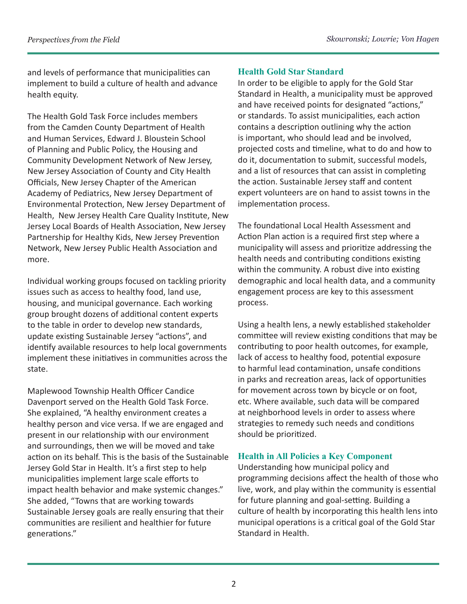and levels of performance that municipalities can implement to build a culture of health and advance health equity.

The Health Gold Task Force includes members from the Camden County Department of Health and Human Services, Edward J. Bloustein School of Planning and Public Policy, the Housing and Community Development Network of New Jersey, New Jersey Association of County and City Health Officials, New Jersey Chapter of the American Academy of Pediatrics, New Jersey Department of Environmental Protection, New Jersey Department of Health, New Jersey Health Care Quality Institute, New Jersey Local Boards of Health Association, New Jersey Partnership for Healthy Kids, New Jersey Prevention Network, New Jersey Public Health Association and more.

Individual working groups focused on tackling priority issues such as access to healthy food, land use, housing, and municipal governance. Each working group brought dozens of additional content experts to the table in order to develop new standards, update existing Sustainable Jersey "actions", and identify available resources to help local governments implement these initiatives in communities across the state.

Maplewood Township Health Officer Candice Davenport served on the Health Gold Task Force. She explained, "A healthy environment creates a healthy person and vice versa. If we are engaged and present in our relationship with our environment and surroundings, then we will be moved and take action on its behalf. This is the basis of the Sustainable Jersey Gold Star in Health. It's a first step to help municipalities implement large scale efforts to impact health behavior and make systemic changes." She added, "Towns that are working towards Sustainable Jersey goals are really ensuring that their communities are resilient and healthier for future generations."

## **Health Gold Star Standard**

In order to be eligible to apply for the Gold Star Standard in Health, a municipality must be approved and have received points for designated "actions," or standards. To assist municipalities, each action contains a description outlining why the action is important, who should lead and be involved, projected costs and timeline, what to do and how to do it, documentation to submit, successful models, and a list of resources that can assist in completing the action. Sustainable Jersey staff and content expert volunteers are on hand to assist towns in the implementation process.

The foundational Local Health Assessment and Action Plan action is a required first step where a municipality will assess and prioritize addressing the health needs and contributing conditions existing within the community. A robust dive into existing demographic and local health data, and a community engagement process are key to this assessment process.

Using a health lens, a newly established stakeholder committee will review existing conditions that may be contributing to poor health outcomes, for example, lack of access to healthy food, potential exposure to harmful lead contamination, unsafe conditions in parks and recreation areas, lack of opportunities for movement across town by bicycle or on foot, etc. Where available, such data will be compared at neighborhood levels in order to assess where strategies to remedy such needs and conditions should be prioritized.

# **Health in All Policies a Key Component**

Understanding how municipal policy and programming decisions affect the health of those who live, work, and play within the community is essential for future planning and goal-setting. Building a culture of health by incorporating this health lens into municipal operations is a critical goal of the Gold Star Standard in Health.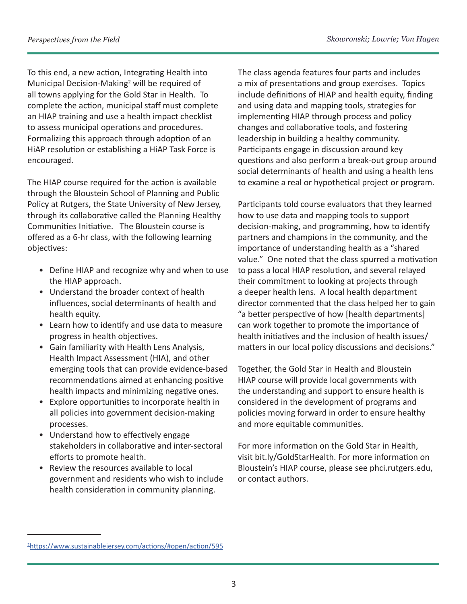To this end, a new action, Integrating Health into Municipal Decision-Making<sup>2</sup> will be required of all towns applying for the Gold Star in Health. To complete the action, municipal staff must complete an HIAP training and use a health impact checklist to assess municipal operations and procedures. Formalizing this approach through adoption of an HiAP resolution or establishing a HiAP Task Force is encouraged.

The HIAP course required for the action is available through the Bloustein School of Planning and Public Policy at Rutgers, the State University of New Jersey, through its collaborative called the Planning Healthy Communities Initiative. The Bloustein course is offered as a 6-hr class, with the following learning objectives:

- Define HIAP and recognize why and when to use the HIAP approach.
- Understand the broader context of health influences, social determinants of health and health equity.
- Learn how to identify and use data to measure progress in health objectives.
- Gain familiarity with Health Lens Analysis, Health Impact Assessment (HIA), and other emerging tools that can provide evidence-based recommendations aimed at enhancing positive health impacts and minimizing negative ones.
- Explore opportunities to incorporate health in all policies into government decision-making processes.
- Understand how to effectively engage stakeholders in collaborative and inter-sectoral efforts to promote health.
- Review the resources available to local government and residents who wish to include health consideration in community planning.

The class agenda features four parts and includes a mix of presentations and group exercises. Topics include definitions of HIAP and health equity, finding and using data and mapping tools, strategies for implementing HIAP through process and policy changes and collaborative tools, and fostering leadership in building a healthy community. Participants engage in discussion around key questions and also perform a break-out group around social determinants of health and using a health lens to examine a real or hypothetical project or program.

Participants told course evaluators that they learned how to use data and mapping tools to support decision-making, and programming, how to identify partners and champions in the community, and the importance of understanding health as a "shared value." One noted that the class spurred a motivation to pass a local HIAP resolution, and several relayed their commitment to looking at projects through a deeper health lens. A local health department director commented that the class helped her to gain "a better perspective of how [health departments] can work together to promote the importance of health initiatives and the inclusion of health issues/ matters in our local policy discussions and decisions."

Together, the Gold Star in Health and Bloustein HIAP course will provide local governments with the understanding and support to ensure health is considered in the development of programs and policies moving forward in order to ensure healthy and more equitable communities.

For more information on the Gold Star in Health, visit bit.ly/GoldStarHealth. For more information on Bloustein's HIAP course, please see phci.rutgers.edu, or contact authors.

<sup>2</sup> <https://www.sustainablejersey.com/actions/#open/action/595>